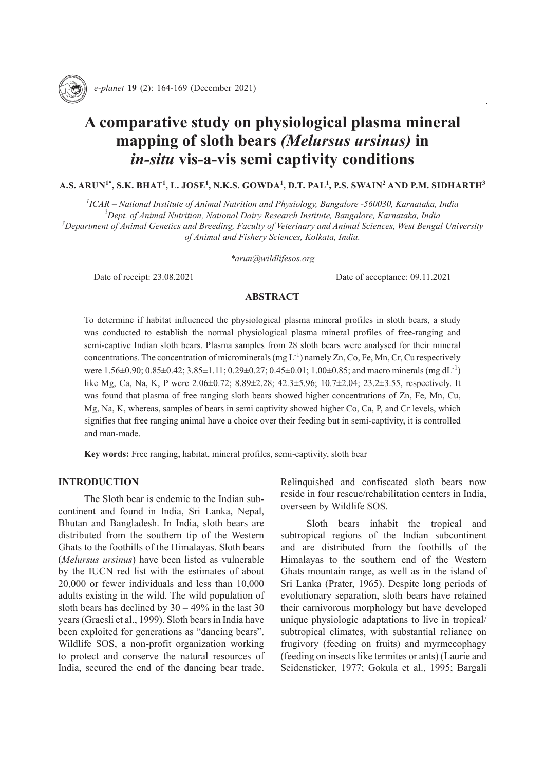

164 ARUN et al. *e-planet* **19** (2): 164-169 *e-planet* **19** (2): 164-169 (December 2021)

# **A comparative study on physiological plasma mineral mapping of sloth bears** *(Melursus ursinus)* **in**  *in-situ* **vis-a-vis semi captivity conditions**

# $\mathbf{A}.\mathbf{S}. \ \mathbf{ARUN}^{1*}, \ \mathbf{S}.\mathbf{K}. \ \mathbf{BHAT}^{1}, \ \mathbf{L}.\ \mathbf{JOSE}^{1}, \ \mathbf{N}.\mathbf{K}.\mathbf{S}. \ \mathbf{GOWDA}^{1}, \ \mathbf{D}.\mathbf{T}. \ \mathbf{PAL}^{1}, \ \mathbf{P}.\mathbf{S}. \ \mathbf{SWAIN}^{2} \ \mathbf{AND} \ \mathbf{P}.\mathbf{M}. \ \mathbf{SIDHARTH}^{3}$

 *ICAR – National Institute of Animal Nutrition and Physiology, Bangalore -560030, Karnataka, India Dept. of Animal Nutrition, National Dairy Research Institute, Bangalore, Karnataka, India Department of Animal Genetics and Breeding, Faculty of Veterinary and Animal Sciences, West Bengal University of Animal and Fishery Sciences, Kolkata, India.*

*\*arun@wildlifesos.org*

Date of receipt: 23.08.2021 Date of acceptance: 09.11.2021

# **ABSTRACT**

To determine if habitat influenced the physiological plasma mineral profiles in sloth bears, a study was conducted to establish the normal physiological plasma mineral profiles of free-ranging and semi-captive Indian sloth bears. Plasma samples from 28 sloth bears were analysed for their mineral concentrations. The concentration of microminerals (mg  $L^{-1}$ ) namely Zn, Co, Fe, Mn, Cr, Cu respectively were 1.56±0.90; 0.85±0.42; 3.85±1.11; 0.29±0.27; 0.45±0.01; 1.00±0.85; and macro minerals (mg dL<sup>-1</sup>) like Mg, Ca, Na, K, P were 2.06±0.72; 8.89±2.28; 42.3±5.96; 10.7±2.04; 23.2±3.55, respectively. It was found that plasma of free ranging sloth bears showed higher concentrations of Zn, Fe, Mn, Cu, Mg, Na, K, whereas, samples of bears in semi captivity showed higher Co, Ca, P, and Cr levels, which signifies that free ranging animal have a choice over their feeding but in semi-captivity, it is controlled and man-made.

**Key words:** Free ranging, habitat, mineral profiles, semi-captivity, sloth bear

## **INTRODUCTION**

The Sloth bear is endemic to the Indian subcontinent and found in India, Sri Lanka, Nepal, Bhutan and Bangladesh. In India, sloth bears are distributed from the southern tip of the Western Ghats to the foothills of the Himalayas. Sloth bears (*Melursus ursinus*) have been listed as vulnerable by the IUCN red list with the estimates of about 20,000 or fewer individuals and less than 10,000 adults existing in the wild. The wild population of sloth bears has declined by  $30 - 49\%$  in the last 30 years (Graesli et al., 1999). Sloth bears in India have been exploited for generations as "dancing bears". Wildlife SOS, a non-profit organization working to protect and conserve the natural resources of India, secured the end of the dancing bear trade.

Relinquished and confiscated sloth bears now reside in four rescue/rehabilitation centers in India, overseen by Wildlife SOS.

Sloth bears inhabit the tropical and subtropical regions of the Indian subcontinent and are distributed from the foothills of the Himalayas to the southern end of the Western Ghats mountain range, as well as in the island of Sri Lanka (Prater, 1965). Despite long periods of evolutionary separation, sloth bears have retained their carnivorous morphology but have developed unique physiologic adaptations to live in tropical/ subtropical climates, with substantial reliance on frugivory (feeding on fruits) and myrmecophagy (feeding on insects like termites or ants) (Laurie and Seidensticker, 1977; Gokula et al., 1995; Bargali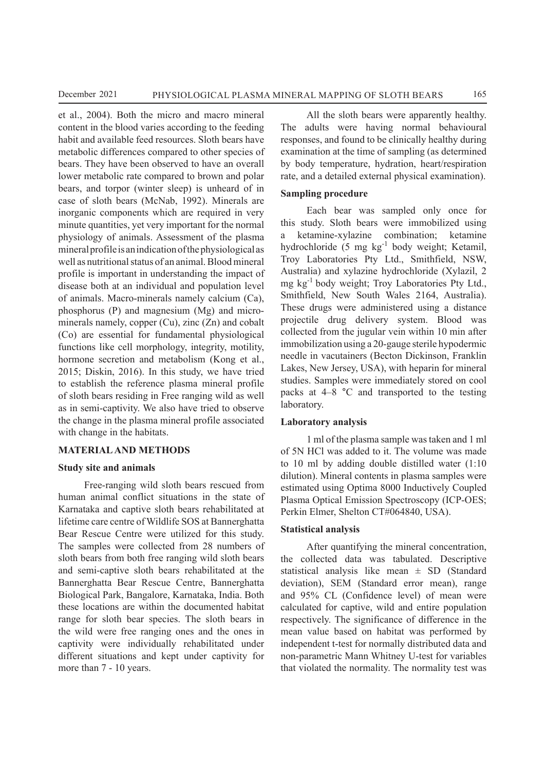et al., 2004). Both the micro and macro mineral content in the blood varies according to the feeding habit and available feed resources. Sloth bears have metabolic differences compared to other species of bears. They have been observed to have an overall lower metabolic rate compared to brown and polar bears, and torpor (winter sleep) is unheard of in case of sloth bears (McNab, 1992). Minerals are inorganic components which are required in very minute quantities, yet very important for the normal physiology of animals. Assessment of the plasma mineral profile is an indication of the physiological as well as nutritional status of an animal. Blood mineral profile is important in understanding the impact of disease both at an individual and population level of animals. Macro-minerals namely calcium (Ca), phosphorus (P) and magnesium (Mg) and microminerals namely, copper (Cu), zinc (Zn) and cobalt (Co) are essential for fundamental physiological functions like cell morphology, integrity, motility, hormone secretion and metabolism (Kong et al., 2015; Diskin, 2016). In this study, we have tried to establish the reference plasma mineral profile of sloth bears residing in Free ranging wild as well as in semi-captivity. We also have tried to observe the change in the plasma mineral profile associated with change in the habitats.

## **MATERIAL AND METHODS**

## **Study site and animals**

Free-ranging wild sloth bears rescued from human animal conflict situations in the state of Karnataka and captive sloth bears rehabilitated at lifetime care centre of Wildlife SOS at Bannerghatta Bear Rescue Centre were utilized for this study. The samples were collected from 28 numbers of sloth bears from both free ranging wild sloth bears and semi-captive sloth bears rehabilitated at the Bannerghatta Bear Rescue Centre, Bannerghatta Biological Park, Bangalore, Karnataka, India. Both these locations are within the documented habitat range for sloth bear species. The sloth bears in the wild were free ranging ones and the ones in captivity were individually rehabilitated under different situations and kept under captivity for more than 7 - 10 years.

All the sloth bears were apparently healthy. The adults were having normal behavioural responses, and found to be clinically healthy during examination at the time of sampling (as determined by body temperature, hydration, heart/respiration rate, and a detailed external physical examination).

## **Sampling procedure**

Each bear was sampled only once for this study. Sloth bears were immobilized using a ketamine-xylazine combination; ketamine hydrochloride (5 mg kg-1 body weight; Ketamil, Troy Laboratories Pty Ltd., Smithfield, NSW, Australia) and xylazine hydrochloride (Xylazil, 2 mg kg-1 body weight; Troy Laboratories Pty Ltd., Smithfield, New South Wales 2164, Australia). These drugs were administered using a distance projectile drug delivery system. Blood was collected from the jugular vein within 10 min after immobilization using a 20-gauge sterile hypodermic needle in vacutainers (Becton Dickinson, Franklin Lakes, New Jersey, USA), with heparin for mineral studies. Samples were immediately stored on cool packs at 4–8 °C and transported to the testing laboratory.

#### **Laboratory analysis**

1 ml of the plasma sample was taken and 1 ml of 5N HCl was added to it. The volume was made to 10 ml by adding double distilled water (1:10 dilution). Mineral contents in plasma samples were estimated using Optima 8000 Inductively Coupled Plasma Optical Emission Spectroscopy (ICP-OES; Perkin Elmer, Shelton CT#064840, USA).

## **Statistical analysis**

After quantifying the mineral concentration, the collected data was tabulated. Descriptive statistical analysis like mean  $\pm$  SD (Standard deviation), SEM (Standard error mean), range and 95% CL (Confidence level) of mean were calculated for captive, wild and entire population respectively. The significance of difference in the mean value based on habitat was performed by independent t-test for normally distributed data and non-parametric Mann Whitney U-test for variables that violated the normality. The normality test was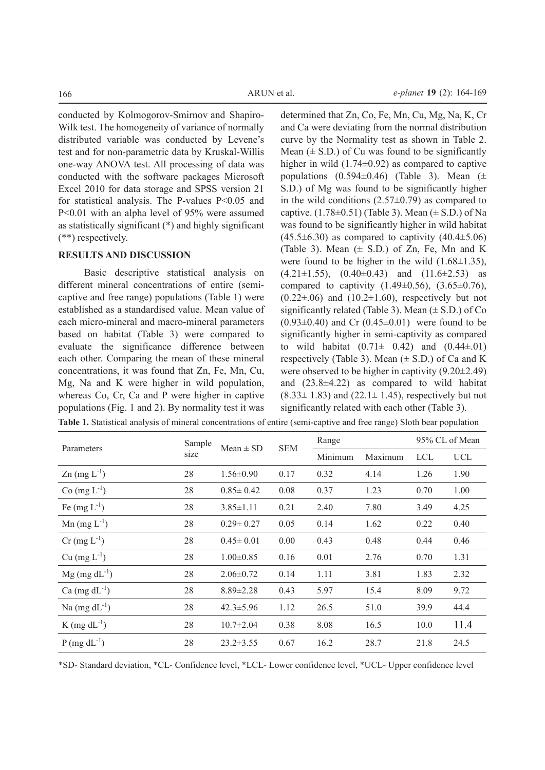conducted by Kolmogorov-Smirnov and Shapiro-Wilk test. The homogeneity of variance of normally distributed variable was conducted by Levene's test and for non-parametric data by Kruskal-Willis one-way ANOVA test. All processing of data was conducted with the software packages Microsoft Excel 2010 for data storage and SPSS version 21 for statistical analysis. The P-values P<0.05 and P<0.01 with an alpha level of 95% were assumed as statistically significant (\*) and highly significant (\*\*) respectively.

# **RESULTS AND DISCUSSION**

Basic descriptive statistical analysis on different mineral concentrations of entire (semicaptive and free range) populations (Table 1) were established as a standardised value. Mean value of each micro-mineral and macro-mineral parameters based on habitat (Table 3) were compared to evaluate the significance difference between each other. Comparing the mean of these mineral concentrations, it was found that Zn, Fe, Mn, Cu, Mg, Na and K were higher in wild population, whereas Co, Cr, Ca and P were higher in captive populations (Fig. 1 and 2). By normality test it was

determined that Zn, Co, Fe, Mn, Cu, Mg, Na, K, Cr and Ca were deviating from the normal distribution curve by the Normality test as shown in Table 2. Mean  $(\pm S.D.)$  of Cu was found to be significantly higher in wild  $(1.74\pm0.92)$  as compared to captive populations  $(0.594\pm0.46)$  (Table 3). Mean  $(\pm$ S.D.) of Mg was found to be significantly higher in the wild conditions  $(2.57\pm0.79)$  as compared to captive.  $(1.78\pm0.51)$  (Table 3). Mean  $(\pm$  S.D.) of Na was found to be significantly higher in wild habitat  $(45.5\pm6.30)$  as compared to captivity  $(40.4\pm5.06)$ (Table 3). Mean  $(\pm$  S.D.) of Zn, Fe, Mn and K were found to be higher in the wild  $(1.68\pm1.35)$ ,  $(4.21\pm1.55)$ ,  $(0.40\pm0.43)$  and  $(11.6\pm2.53)$  as compared to captivity  $(1.49 \pm 0.56)$ ,  $(3.65 \pm 0.76)$ ,  $(0.22\pm.06)$  and  $(10.2\pm1.60)$ , respectively but not significantly related (Table 3). Mean  $(\pm S.D.)$  of Co  $(0.93\pm0.40)$  and Cr  $(0.45\pm0.01)$  were found to be significantly higher in semi-captivity as compared to wild habitat  $(0.71 \pm 0.42)$  and  $(0.44 \pm 0.01)$ respectively (Table 3). Mean  $(\pm S.D.)$  of Ca and K were observed to be higher in captivity (9.20±2.49) and (23.8±4.22) as compared to wild habitat  $(8.33 \pm 1.83)$  and  $(22.1 \pm 1.45)$ , respectively but not significantly related with each other (Table 3).

|  | Table 1. Statistical analysis of mineral concentrations of entire (semi-captive and free range) Sloth bear population |  |  |  |  |
|--|-----------------------------------------------------------------------------------------------------------------------|--|--|--|--|
|--|-----------------------------------------------------------------------------------------------------------------------|--|--|--|--|

| Parameters                        | Sample | Mean $\pm$ SD   | <b>SEM</b> | Range   |         | 95% CL of Mean |            |
|-----------------------------------|--------|-----------------|------------|---------|---------|----------------|------------|
|                                   | size   |                 |            | Minimum | Maximum | <b>LCL</b>     | <b>UCL</b> |
| $\text{Zn}$ (mg $\text{L}^{-1}$ ) | 28     | $1.56 \pm 0.90$ | 0.17       | 0.32    | 4.14    | 1.26           | 1.90       |
| Co $(mg L^{-1})$                  | 28     | $0.85 \pm 0.42$ | 0.08       | 0.37    | 1.23    | 0.70           | 1.00       |
| Fe $(mg L^{-1})$                  | 28     | $3.85 \pm 1.11$ | 0.21       | 2.40    | 7.80    | 3.49           | 4.25       |
| Mn $(mg L^{-1})$                  | 28     | $0.29 \pm 0.27$ | 0.05       | 0.14    | 1.62    | 0.22           | 0.40       |
| $Cr$ (mg $L^{-1}$ )               | 28     | $0.45 \pm 0.01$ | 0.00       | 0.43    | 0.48    | 0.44           | 0.46       |
| $Cu$ (mg $L^{-1}$ )               | 28     | $1.00 \pm 0.85$ | 0.16       | 0.01    | 2.76    | 0.70           | 1.31       |
| $Mg$ (mg dL <sup>-1</sup> )       | 28     | $2.06 \pm 0.72$ | 0.14       | 1.11    | 3.81    | 1.83           | 2.32       |
| Ca $(mg dL^{-1})$                 | 28     | $8.89 \pm 2.28$ | 0.43       | 5.97    | 15.4    | 8.09           | 9.72       |
| Na $(mg dL^{-1})$                 | 28     | $42.3 \pm 5.96$ | 1.12       | 26.5    | 51.0    | 39.9           | 44.4       |
| K (mg $dL^{-1}$ )                 | 28     | $10.7 \pm 2.04$ | 0.38       | 8.08    | 16.5    | 10.0           | 11.4       |
| $P$ (mg dL <sup>-1</sup> )        | 28     | $23.2 \pm 3.55$ | 0.67       | 16.2    | 28.7    | 21.8           | 24.5       |

\*SD- Standard deviation, \*CL- Confidence level, \*LCL- Lower confidence level, \*UCL- Upper confidence level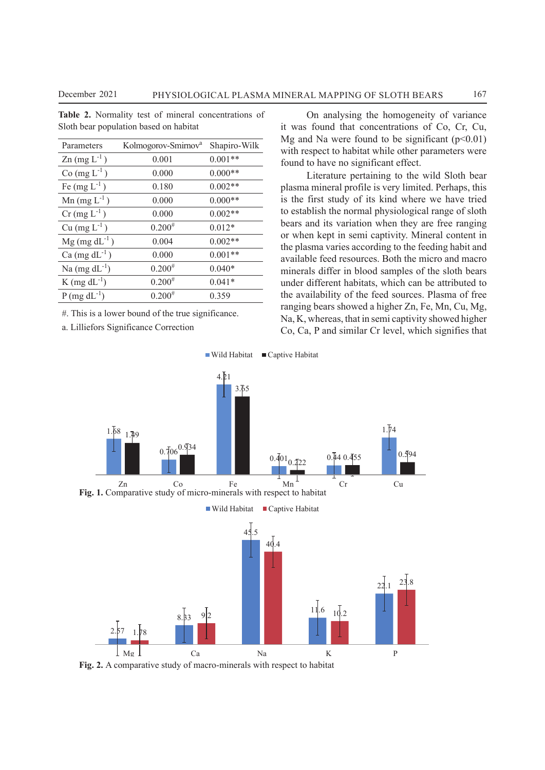| Parameters                        | Kolmogorov-Smirnov <sup>a</sup> | Shapiro-Wilk |
|-----------------------------------|---------------------------------|--------------|
| $\text{Zn}$ (mg $\text{L}^{-1}$ ) | 0.001                           | $0.001**$    |
| $Co (mg L-1)$                     | 0.000                           | $0.000**$    |
| Fe $(mg L^{-1})$                  | 0.180                           | $0.002**$    |
| $Mn$ (mg $L^{-1}$ )               | 0.000                           | $0.000**$    |
| $Cr$ (mg $L^{-1}$ )               | 0.000                           | $0.002**$    |
| $Cu$ (mg $L^{-1}$ )               | $0.200^{#}$                     | $0.012*$     |
| $Mg$ (mg dL <sup>-1</sup> )       | 0.004                           | $0.002**$    |
| Ca $(mg dL^{-1})$                 | 0.000                           | $0.001**$    |
| Na $(mg dL^{-1})$                 | $0.200^{#}$                     | $0.040*$     |
| K (mg $dL^{-1}$ )                 | $0.200^{#}$                     | $0.041*$     |
| $P$ (mg dL <sup>-1</sup> )        | $0.200^{#}$                     | 0.359        |
|                                   |                                 |              |

**Table 2.** Normality test of mineral concentrations of

Sloth bear population based on habitat

#. This is a lower bound of the true significance. 4.21

a. Lilliefors Significance Correction

On analysing the homogeneity of variance it was found that concentrations of Co, Cr, Cu, Mg and Na were found to be significant  $(p<0.01)$ with respect to habitat while other parameters were found to have no significant effect.

0.359 the availability of the feed sources. Plasma of free Literature pertaining to the wild Sloth bear plasma mineral profile is very limited. Perhaps, this is the first study of its kind where we have tried to establish the normal physiological range of sloth bears and its variation when they are free ranging or when kept in semi captivity. Mineral content in the plasma varies according to the feeding habit and available feed resources. Both the micro and macro minerals differ in blood samples of the sloth bears under different habitats, which can be attributed to ranging bears showed a higher Zn, Fe, Mn, Cu, Mg, Na, K, whereas, that in semi captivity showed higher Co, Ca, P and similar Cr level, which signifies that



Fig. 2. A comparative study of macro-minerals with respect to habitat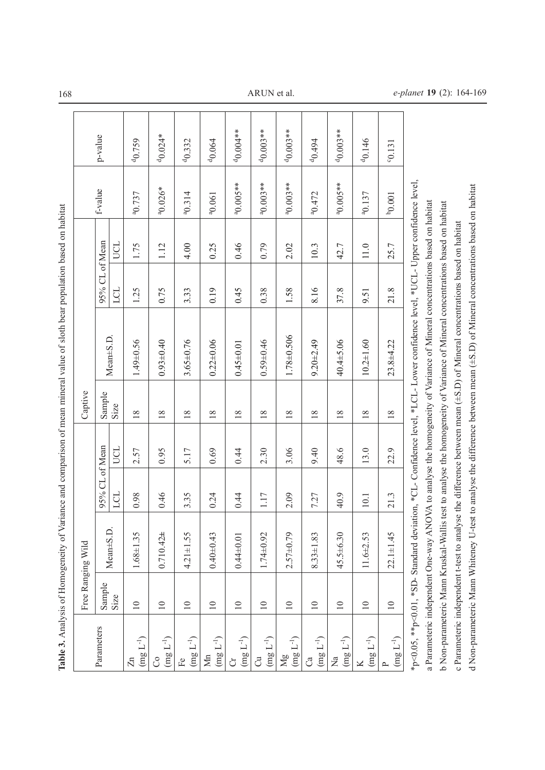|                                                          |                   |                 |                |      |         | Table 3. Analysis of Homogeneity of Variance and comparison of mean mineral value of sloth bear population based on habitat                                                                                                                               |                |      |                      |                       |
|----------------------------------------------------------|-------------------|-----------------|----------------|------|---------|-----------------------------------------------------------------------------------------------------------------------------------------------------------------------------------------------------------------------------------------------------------|----------------|------|----------------------|-----------------------|
|                                                          | Free Ranging Wild |                 |                |      | Captive |                                                                                                                                                                                                                                                           |                |      |                      |                       |
| Parameters                                               | Sample            |                 | 95% CL of Mean |      | Sample  |                                                                                                                                                                                                                                                           | 95% CL of Mean |      | f-value              | p-value               |
|                                                          | Size              | $Mean \pm S.D.$ | LCL            | UCL  | Size    | Mean±S.D.                                                                                                                                                                                                                                                 | LCL            | UCL  |                      |                       |
| $(\operatorname{mg}\nolimits L^{-1})$<br>$\mathbb{Z}$    | $\Box$            | $1.68 \pm 1.35$ | 0.98           | 2.57 | $18\,$  | 1.49±0.56                                                                                                                                                                                                                                                 | 1.25           | 1.75 | <sup>a</sup> 0.737   | $^{d}$ 0.759          |
| $(\operatorname{mg}\mathsf{L}^{-1})$<br>රි               | $10$              | $0.710.42 \pm$  | 0.46           | 0.95 | 18      | $0.93 + 0.40$                                                                                                                                                                                                                                             | 0.75           | 1.12 | $^{a}0.026*$         | $40.024*$             |
| $(\operatorname{mg}\mathcal{L}^{-1})$<br>$\rm Fe$        | $\overline{10}$   | $4.21 \pm 1.55$ | 3.35           | 5.17 | $18\,$  | $3.65 \pm 0.76$                                                                                                                                                                                                                                           | 3.33           | 4.00 | $^{a}0.314$          | 40.332                |
| $(\operatorname{mg}\mathcal{L}^{-1})$<br>Mn              | $\equiv$          | $0.40 + 0.43$   | 0.24           | 0.69 | $18\,$  | $0.22 + 0.06$                                                                                                                                                                                                                                             | 0.19           | 0.25 | $^{a}0.061$          | 40.064                |
| $(\rm{mg}\,L^{-1})$<br>J                                 | $\Box$            | $0.44 \pm 0.01$ | 0.44           | 0.44 | $18\,$  | $0.45 \pm 0.01$                                                                                                                                                                                                                                           | 645            | 0.46 | $^{a}0.005**$        | d <sub>0.004</sub> ** |
| $(\operatorname{mg}\mathsf{L}^{-1})$<br>$\vec{c}$        | $\overline{10}$   | $1.74 \pm 0.92$ | 1.17           | 2.30 | 18      | $0.59 + 0.46$                                                                                                                                                                                                                                             | 0.38           | 0.79 | $^{a}0.003**$        | $40.003***$           |
| $(\operatorname{mg}\mathcal{L}^{-1})$<br>$\overline{Mg}$ | 10                | $2.57 + 0.79$   | 2.09           | 3.06 | $18\,$  | $1.78 \pm 0.506$                                                                                                                                                                                                                                          | 1.58           | 2.02 | $^{a}0.003**$        | $40.003**$            |
| $(\operatorname{mg}\mathsf{L}^{-1})$<br>්ය               | $\equiv$          | $8.33 \pm 1.83$ | 7.27           | 9.40 | $18\,$  | $9.20 + 2.49$                                                                                                                                                                                                                                             | 8.16           | 10.3 | $^{a}0.472$          | 40.494                |
| $(\rm{mg}\,L^{-1})$<br>$\overline{N}$ a                  | $10$              | $45.5 + 6.30$   | 40.9           | 48.6 | $18\,$  | 40.4±5.06                                                                                                                                                                                                                                                 | 37.8           | 42.7 | <sup>a</sup> 0.005** | $40.003**$            |
| $(\operatorname{mg}\nolimits L^{-1})$                    | $\overline{10}$   | $11.6 \pm 2.53$ | $10.1\,$       | 13.0 | $18\,$  | $10.2 + 1.60$                                                                                                                                                                                                                                             | 9.51           | 11.0 | <sup>a</sup> 0.137   | 40.146                |
| $(\rm{mg}\,L^{-1})$                                      | $\Box$            | $22.1 + 1.45$   | 21.3           | 22.9 | 18      | 23.8±4.22                                                                                                                                                                                                                                                 | 21.8           | 25.7 | $b_{0.001}$          | $-0.131$              |
|                                                          |                   |                 |                |      |         | *p<0.05, **p<0.01, *SD- Standard deviation, *CL- Confidence level, *LCL- Lower confidence level, *UCL- Upper confidence level,                                                                                                                            |                |      |                      |                       |
|                                                          |                   |                 |                |      |         | a Parameteric independent One-way ANOVA to analyse the homogeneity of Variance of Mineral concentrations based on habitat<br>b Non-parameteric Mann Kruskal-Wallis test to analyse the homogeneity of Variance of Mineral concentrations based on habitat |                |      |                      |                       |
|                                                          |                   |                 |                |      |         | c Parameteric independent t-test to analyse the difference between mean (±S.D) of Mineral concentrations based on habitat                                                                                                                                 |                |      |                      |                       |
|                                                          |                   |                 |                |      |         | d Non-parameteric Mann Whiteney U-test to analyse the difference between mean (±S.D) of Mineral concentrations based on habitat                                                                                                                           |                |      |                      |                       |

 $\sqrt{ }$